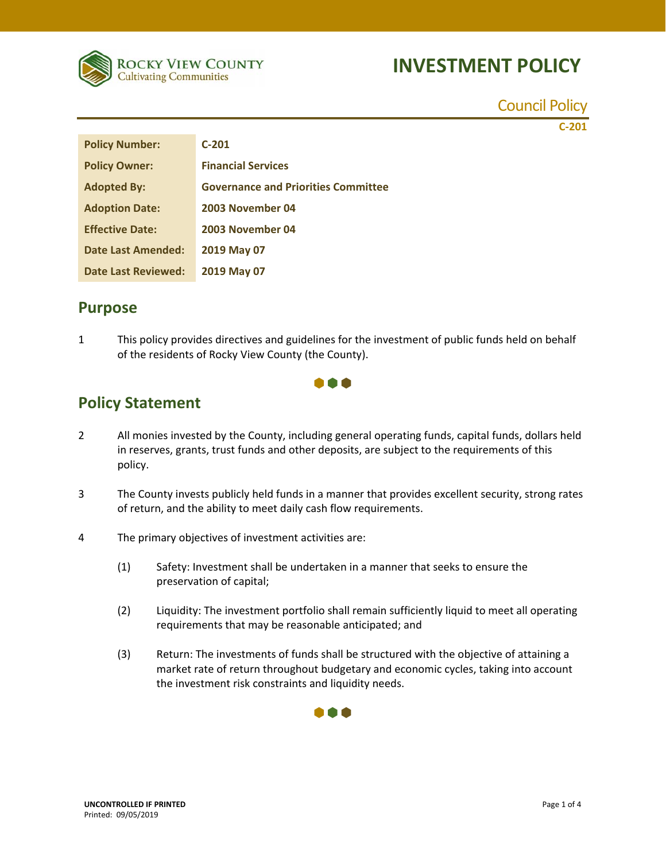

Council Policy

**C‐201**

| <b>Policy Number:</b>  | $C-201$                                    |
|------------------------|--------------------------------------------|
| <b>Policy Owner:</b>   | <b>Financial Services</b>                  |
| <b>Adopted By:</b>     | <b>Governance and Priorities Committee</b> |
| <b>Adoption Date:</b>  | 2003 November 04                           |
| <b>Effective Date:</b> | 2003 November 04                           |
| Date Last Amended:     | 2019 May 07                                |
| Date Last Reviewed:    | 2019 May 07                                |

#### **Purpose**

1 This policy provides directives and guidelines for the investment of public funds held on behalf of the residents of Rocky View County (the County).

000

### **Policy Statement**

- 2 All monies invested by the County, including general operating funds, capital funds, dollars held in reserves, grants, trust funds and other deposits, are subject to the requirements of this policy.
- 3 The County invests publicly held funds in a manner that provides excellent security, strong rates of return, and the ability to meet daily cash flow requirements.
- 4 The primary objectives of investment activities are:
	- (1) Safety: Investment shall be undertaken in a manner that seeks to ensure the preservation of capital;
	- (2) Liquidity: The investment portfolio shall remain sufficiently liquid to meet all operating requirements that may be reasonable anticipated; and
	- (3) Return: The investments of funds shall be structured with the objective of attaining a market rate of return throughout budgetary and economic cycles, taking into account the investment risk constraints and liquidity needs.

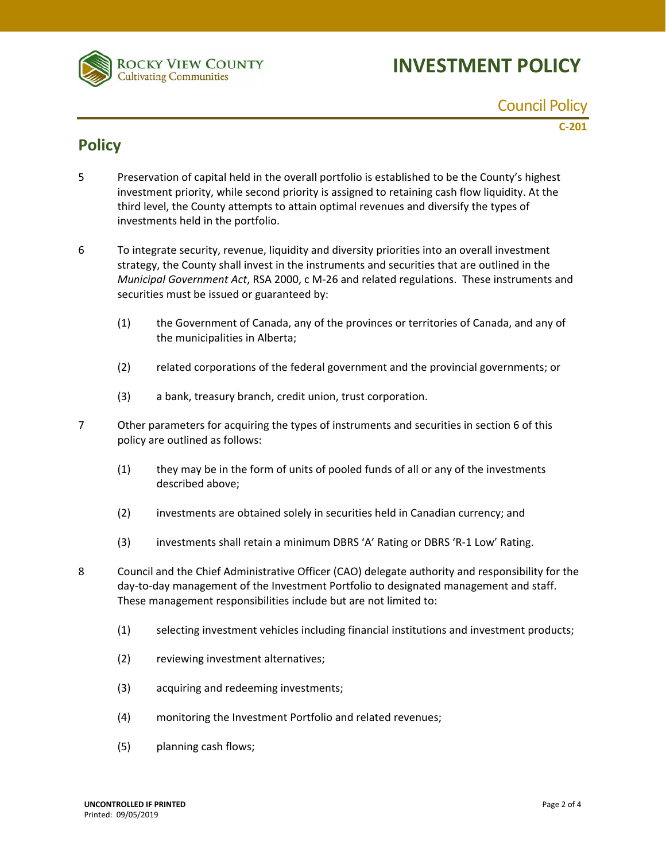

Council Policy

**C‐201**

### **Policy**

- 5 Preservation of capital held in the overall portfolio is established to be the County's highest investment priority, while second priority is assigned to retaining cash flow liquidity. At the third level, the County attempts to attain optimal revenues and diversify the types of investments held in the portfolio.
- 6 To integrate security, revenue, liquidity and diversity priorities into an overall investment strategy, the County shall invest in the instruments and securities that are outlined in the *Municipal Government Act*, RSA 2000, c M‐26 and related regulations. These instruments and securities must be issued or guaranteed by:
	- (1) the Government of Canada, any of the provinces or territories of Canada, and any of the municipalities in Alberta;
	- (2) related corporations of the federal government and the provincial governments; or
	- (3) a bank, treasury branch, credit union, trust corporation.
- 7 Other parameters for acquiring the types of instruments and securities in section 6 of this policy are outlined as follows:
	- (1) they may be in the form of units of pooled funds of all or any of the investments described above;
	- (2) investments are obtained solely in securities held in Canadian currency; and
	- (3) investments shall retain a minimum DBRS 'A' Rating or DBRS 'R‐1 Low' Rating.
- 8 Council and the Chief Administrative Officer (CAO) delegate authority and responsibility for the day‐to‐day management of the Investment Portfolio to designated management and staff. These management responsibilities include but are not limited to:
	- (1) selecting investment vehicles including financial institutions and investment products;
	- (2) reviewing investment alternatives;
	- (3) acquiring and redeeming investments;
	- (4) monitoring the Investment Portfolio and related revenues;
	- (5) planning cash flows;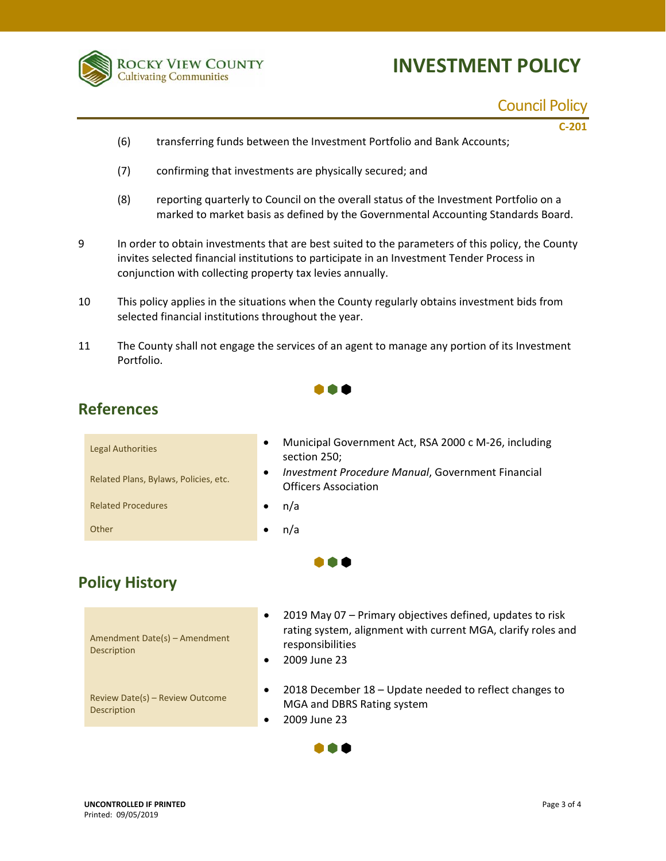

## Council Policy

**C‐201**

- (6) transferring funds between the Investment Portfolio and Bank Accounts;
- (7) confirming that investments are physically secured; and
- (8) reporting quarterly to Council on the overall status of the Investment Portfolio on a marked to market basis as defined by the Governmental Accounting Standards Board.
- 9 In order to obtain investments that are best suited to the parameters of this policy, the County invites selected financial institutions to participate in an Investment Tender Process in conjunction with collecting property tax levies annually.
- 10 This policy applies in the situations when the County regularly obtains investment bids from selected financial institutions throughout the year.
- 11 The County shall not engage the services of an agent to manage any portion of its Investment Portfolio.

 $\bullet\bullet\bullet$ 

### **References**

| <b>Legal Authorities</b><br>Related Plans, Bylaws, Policies, etc. | Municipal Government Act, RSA 2000 c M-26, including<br>$\bullet$<br>section 250;<br>Investment Procedure Manual, Government Financial<br>$\bullet$<br><b>Officers Association</b> |
|-------------------------------------------------------------------|------------------------------------------------------------------------------------------------------------------------------------------------------------------------------------|
| <b>Related Procedures</b>                                         | n/a<br>٠                                                                                                                                                                           |
| Other                                                             | n/a<br>٠                                                                                                                                                                           |
|                                                                   |                                                                                                                                                                                    |

### **Policy History**

| Amendment Date(s) - Amendment<br>Description   | 2019 May 07 – Primary objectives defined, updates to risk<br>$\bullet$<br>rating system, alignment with current MGA, clarify roles and<br>responsibilities<br>2009 June 23 |
|------------------------------------------------|----------------------------------------------------------------------------------------------------------------------------------------------------------------------------|
| Review Date(s) - Review Outcome<br>Description | 2018 December 18 - Update needed to reflect changes to<br>٠<br>MGA and DBRS Rating system<br>2009 June 23                                                                  |

h Ali